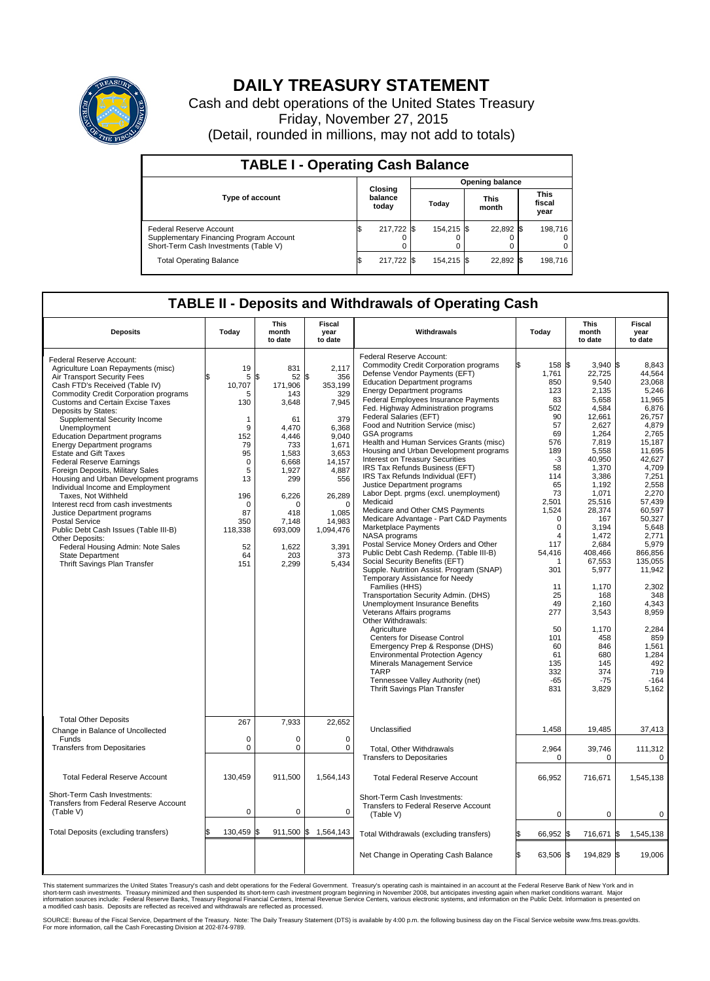

## **DAILY TREASURY STATEMENT**

Cash and debt operations of the United States Treasury Friday, November 27, 2015 (Detail, rounded in millions, may not add to totals)

| <b>TABLE I - Operating Cash Balance</b>                                                                     |    |                             |  |                        |  |                      |  |                               |  |  |  |
|-------------------------------------------------------------------------------------------------------------|----|-----------------------------|--|------------------------|--|----------------------|--|-------------------------------|--|--|--|
|                                                                                                             |    |                             |  | <b>Opening balance</b> |  |                      |  |                               |  |  |  |
| <b>Type of account</b>                                                                                      |    | Closing<br>balance<br>today |  | Today                  |  | <b>This</b><br>month |  | <b>This</b><br>fiscal<br>year |  |  |  |
| Federal Reserve Account<br>Supplementary Financing Program Account<br>Short-Term Cash Investments (Table V) |    | 217,722                     |  | 154.215 \\$            |  | 22,892 \$            |  | 198.716                       |  |  |  |
| <b>Total Operating Balance</b>                                                                              | ß. | 217,722 \$                  |  | 154,215 \$             |  | 22,892 \$            |  | 198,716                       |  |  |  |

## **TABLE II - Deposits and Withdrawals of Operating Cash**

| <b>Deposits</b>                                                                                                                                                                                                                                                                                                                                                                                                                                                                                                                                                                                                                                                                                                                                                                                                                                       | Today                                                                                                                                                            | <b>This</b><br>month<br>to date                                                                                                                                                      | <b>Fiscal</b><br>year<br>to date                                                                                                                                                                   | Withdrawals                                                                                                                                                                                                                                                                                                                                                                                                                                                                                                                                                                                                                                                                                                                                                                                                                                                                                                                                                                                                                                                                                                                                                                                                                                                                                                                                                                  | Today                                                                                                                                                                                                                                                                    | <b>This</b><br>month<br>to date                                                                                                                                                                                                                                                                                                     | Fiscal<br>year<br>to date                                                                                                                                                                                                                                                                                                                                |
|-------------------------------------------------------------------------------------------------------------------------------------------------------------------------------------------------------------------------------------------------------------------------------------------------------------------------------------------------------------------------------------------------------------------------------------------------------------------------------------------------------------------------------------------------------------------------------------------------------------------------------------------------------------------------------------------------------------------------------------------------------------------------------------------------------------------------------------------------------|------------------------------------------------------------------------------------------------------------------------------------------------------------------|--------------------------------------------------------------------------------------------------------------------------------------------------------------------------------------|----------------------------------------------------------------------------------------------------------------------------------------------------------------------------------------------------|------------------------------------------------------------------------------------------------------------------------------------------------------------------------------------------------------------------------------------------------------------------------------------------------------------------------------------------------------------------------------------------------------------------------------------------------------------------------------------------------------------------------------------------------------------------------------------------------------------------------------------------------------------------------------------------------------------------------------------------------------------------------------------------------------------------------------------------------------------------------------------------------------------------------------------------------------------------------------------------------------------------------------------------------------------------------------------------------------------------------------------------------------------------------------------------------------------------------------------------------------------------------------------------------------------------------------------------------------------------------------|--------------------------------------------------------------------------------------------------------------------------------------------------------------------------------------------------------------------------------------------------------------------------|-------------------------------------------------------------------------------------------------------------------------------------------------------------------------------------------------------------------------------------------------------------------------------------------------------------------------------------|----------------------------------------------------------------------------------------------------------------------------------------------------------------------------------------------------------------------------------------------------------------------------------------------------------------------------------------------------------|
| Federal Reserve Account:<br>Agriculture Loan Repayments (misc)<br>Air Transport Security Fees<br>Cash FTD's Received (Table IV)<br><b>Commodity Credit Corporation programs</b><br><b>Customs and Certain Excise Taxes</b><br>Deposits by States:<br>Supplemental Security Income<br>Unemployment<br><b>Education Department programs</b><br><b>Energy Department programs</b><br><b>Estate and Gift Taxes</b><br><b>Federal Reserve Earnings</b><br>Foreign Deposits, Military Sales<br>Housing and Urban Development programs<br>Individual Income and Employment<br>Taxes, Not Withheld<br>Interest recd from cash investments<br>Justice Department programs<br><b>Postal Service</b><br>Public Debt Cash Issues (Table III-B)<br>Other Deposits:<br>Federal Housing Admin: Note Sales<br><b>State Department</b><br>Thrift Savings Plan Transfer | 19<br>5<br>10,707<br>5<br>130<br>$\mathbf{1}$<br>9<br>152<br>79<br>95<br>$\mathbf 0$<br>5<br>13<br>196<br>$\mathbf 0$<br>87<br>350<br>118,338<br>52<br>64<br>151 | 831<br>\$<br>52<br>171,906<br>143<br>3,648<br>61<br>4,470<br>4.446<br>733<br>1,583<br>6.668<br>1,927<br>299<br>6,226<br>$\Omega$<br>418<br>7,148<br>693,009<br>1,622<br>203<br>2,299 | 2,117<br>l\$<br>356<br>353,199<br>329<br>7,945<br>379<br>6,368<br>9.040<br>1,671<br>3,653<br>14,157<br>4,887<br>556<br>26,289<br>$\Omega$<br>1.085<br>14,983<br>1,094,476<br>3,391<br>373<br>5,434 | Federal Reserve Account:<br><b>Commodity Credit Corporation programs</b><br>Defense Vendor Payments (EFT)<br><b>Education Department programs</b><br><b>Energy Department programs</b><br>Federal Employees Insurance Payments<br>Fed. Highway Administration programs<br>Federal Salaries (EFT)<br>Food and Nutrition Service (misc)<br><b>GSA</b> programs<br>Health and Human Services Grants (misc)<br>Housing and Urban Development programs<br>Interest on Treasury Securities<br>IRS Tax Refunds Business (EFT)<br>IRS Tax Refunds Individual (EFT)<br>Justice Department programs<br>Labor Dept. prgms (excl. unemployment)<br>Medicaid<br>Medicare and Other CMS Payments<br>Medicare Advantage - Part C&D Payments<br>Marketplace Payments<br>NASA programs<br>Postal Service Money Orders and Other<br>Public Debt Cash Redemp. (Table III-B)<br>Social Security Benefits (EFT)<br>Supple. Nutrition Assist. Program (SNAP)<br>Temporary Assistance for Needy<br>Families (HHS)<br>Transportation Security Admin. (DHS)<br><b>Unemployment Insurance Benefits</b><br>Veterans Affairs programs<br>Other Withdrawals:<br>Agriculture<br>Centers for Disease Control<br>Emergency Prep & Response (DHS)<br><b>Environmental Protection Agency</b><br>Minerals Management Service<br><b>TARP</b><br>Tennessee Valley Authority (net)<br>Thrift Savings Plan Transfer | 158 \$<br>1,761<br>850<br>123<br>83<br>502<br>90<br>57<br>69<br>576<br>189<br>$-3$<br>58<br>114<br>65<br>73<br>2,501<br>1,524<br>$\Omega$<br>0<br>$\overline{4}$<br>117<br>54,416<br>301<br>11<br>25<br>49<br>277<br>50<br>101<br>60<br>61<br>135<br>332<br>$-65$<br>831 | 3.940<br>22,725<br>9,540<br>2.135<br>5,658<br>4,584<br>12,661<br>2,627<br>1,264<br>7,819<br>5,558<br>40,950<br>1,370<br>3,386<br>1.192<br>1,071<br>25,516<br>28,374<br>167<br>3,194<br>1,472<br>2,684<br>408.466<br>67,553<br>5,977<br>1,170<br>168<br>2,160<br>3,543<br>1,170<br>458<br>846<br>680<br>145<br>374<br>$-75$<br>3,829 | 8.843<br>I\$<br>44,564<br>23,068<br>5,246<br>11,965<br>6,876<br>26,757<br>4,879<br>2,765<br>15.187<br>11,695<br>42,627<br>4.709<br>7,251<br>2,558<br>2,270<br>57.439<br>60,597<br>50,327<br>5,648<br>2,771<br>5,979<br>866.856<br>135,055<br>11,942<br>2,302<br>348<br>4.343<br>8,959<br>2,284<br>859<br>1,561<br>1,284<br>492<br>719<br>$-164$<br>5,162 |
| <b>Total Other Deposits</b><br>Change in Balance of Uncollected<br>Funds<br><b>Transfers from Depositaries</b>                                                                                                                                                                                                                                                                                                                                                                                                                                                                                                                                                                                                                                                                                                                                        | 267<br>$\mathbf 0$<br>$\mathbf 0$                                                                                                                                | 7,933<br>$\Omega$<br>0                                                                                                                                                               | 22,652<br>$\Omega$<br>0                                                                                                                                                                            | Unclassified<br>Total, Other Withdrawals                                                                                                                                                                                                                                                                                                                                                                                                                                                                                                                                                                                                                                                                                                                                                                                                                                                                                                                                                                                                                                                                                                                                                                                                                                                                                                                                     | 1,458<br>2,964<br>0                                                                                                                                                                                                                                                      | 19,485<br>39,746<br>$\mathbf 0$                                                                                                                                                                                                                                                                                                     | 37,413<br>111,312                                                                                                                                                                                                                                                                                                                                        |
| <b>Total Federal Reserve Account</b>                                                                                                                                                                                                                                                                                                                                                                                                                                                                                                                                                                                                                                                                                                                                                                                                                  | 130,459                                                                                                                                                          | 911,500                                                                                                                                                                              | 1,564,143                                                                                                                                                                                          | <b>Transfers to Depositaries</b><br><b>Total Federal Reserve Account</b>                                                                                                                                                                                                                                                                                                                                                                                                                                                                                                                                                                                                                                                                                                                                                                                                                                                                                                                                                                                                                                                                                                                                                                                                                                                                                                     | 66,952                                                                                                                                                                                                                                                                   | 716,671                                                                                                                                                                                                                                                                                                                             | $\mathbf 0$<br>1,545,138                                                                                                                                                                                                                                                                                                                                 |
| Short-Term Cash Investments:<br><b>Transfers from Federal Reserve Account</b><br>(Table V)                                                                                                                                                                                                                                                                                                                                                                                                                                                                                                                                                                                                                                                                                                                                                            | $\mathbf 0$                                                                                                                                                      | 0                                                                                                                                                                                    | $\mathbf 0$                                                                                                                                                                                        | Short-Term Cash Investments:<br>Transfers to Federal Reserve Account<br>(Table V)                                                                                                                                                                                                                                                                                                                                                                                                                                                                                                                                                                                                                                                                                                                                                                                                                                                                                                                                                                                                                                                                                                                                                                                                                                                                                            | $\mathbf 0$                                                                                                                                                                                                                                                              | $\mathbf 0$                                                                                                                                                                                                                                                                                                                         | 0                                                                                                                                                                                                                                                                                                                                                        |
| Total Deposits (excluding transfers)                                                                                                                                                                                                                                                                                                                                                                                                                                                                                                                                                                                                                                                                                                                                                                                                                  | l\$<br>130,459                                                                                                                                                   | 1\$                                                                                                                                                                                  | 911,500 \$ 1,564,143                                                                                                                                                                               | Total Withdrawals (excluding transfers)                                                                                                                                                                                                                                                                                                                                                                                                                                                                                                                                                                                                                                                                                                                                                                                                                                                                                                                                                                                                                                                                                                                                                                                                                                                                                                                                      | 66,952 \$                                                                                                                                                                                                                                                                | 716,671 \$                                                                                                                                                                                                                                                                                                                          | 1,545,138                                                                                                                                                                                                                                                                                                                                                |
|                                                                                                                                                                                                                                                                                                                                                                                                                                                                                                                                                                                                                                                                                                                                                                                                                                                       |                                                                                                                                                                  |                                                                                                                                                                                      |                                                                                                                                                                                                    | Net Change in Operating Cash Balance                                                                                                                                                                                                                                                                                                                                                                                                                                                                                                                                                                                                                                                                                                                                                                                                                                                                                                                                                                                                                                                                                                                                                                                                                                                                                                                                         | l\$<br>63,506 \$                                                                                                                                                                                                                                                         | 194,829 \$                                                                                                                                                                                                                                                                                                                          | 19,006                                                                                                                                                                                                                                                                                                                                                   |

This statement summarizes the United States Treasury's cash and debt operations for the Federal Government. Treasury's operating cash is maintained in an account at the Federal Reserve Bank of New York and in<br>short-term ca

SOURCE: Bureau of the Fiscal Service, Department of the Treasury. Note: The Daily Treasury Statement (DTS) is available by 4:00 p.m. the following business day on the Fiscal Service website www.fms.treas.gov/dts.<br>For more